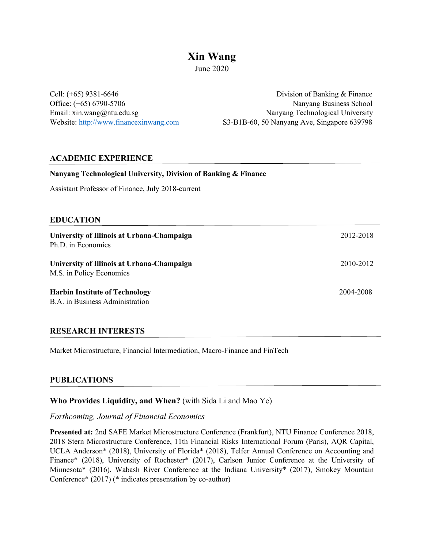# **Xin Wang**

June 2020

Assistant Professor of Finance, July 2018-current

Cell: (+65) 9381-6646 Division of Banking & Finance Office: (+65) 6790-5706 Nanyang Business School Email: xin.wang@ntu.edu.sg Nanyang Technological University Website: http://www.financexinwang.com S3-B1B-60, 50 Nanyang Ave, Singapore 639798

## **ACADEMIC EXPERIENCE**

| <b>EDUCATION</b>                                                         |           |
|--------------------------------------------------------------------------|-----------|
| University of Illinois at Urbana-Champaign<br>Ph.D. in Economics         | 2012-2018 |
| University of Illinois at Urbana-Champaign<br>M.S. in Policy Economics   | 2010-2012 |
| <b>Harbin Institute of Technology</b><br>B.A. in Business Administration | 2004-2008 |

# **RESEARCH INTERESTS**

Market Microstructure, Financial Intermediation, Macro-Finance and FinTech

**Nanyang Technological University, Division of Banking & Finance**

# **PUBLICATIONS**

# **Who Provides Liquidity, and When?** (with Sida Li and Mao Ye)

## *Forthcoming, Journal of Financial Economics*

**Presented at:** 2nd SAFE Market Microstructure Conference (Frankfurt), NTU Finance Conference 2018, 2018 Stern Microstructure Conference, 11th Financial Risks International Forum (Paris), AQR Capital, UCLA Anderson\* (2018), University of Florida\* (2018), Telfer Annual Conference on Accounting and Finance\* (2018), University of Rochester\* (2017), Carlson Junior Conference at the University of Minnesota\* (2016), Wabash River Conference at the Indiana University\* (2017), Smokey Mountain Conference\* (2017) (\* indicates presentation by co-author)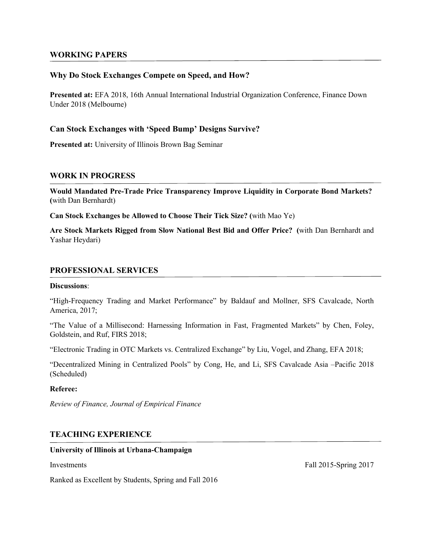### **WORKING PAPERS**

## **Why Do Stock Exchanges Compete on Speed, and How?**

**Presented at:** EFA 2018, 16th Annual International Industrial Organization Conference, Finance Down Under 2018 (Melbourne)

### **Can Stock Exchanges with 'Speed Bump' Designs Survive?**

**Presented at:** University of Illinois Brown Bag Seminar

#### **WORK IN PROGRESS**

**Would Mandated Pre-Trade Price Transparency Improve Liquidity in Corporate Bond Markets? (**with Dan Bernhardt)

**Can Stock Exchanges be Allowed to Choose Their Tick Size? (**with Mao Ye)

**Are Stock Markets Rigged from Slow National Best Bid and Offer Price? (**with Dan Bernhardt and Yashar Heydari)

### **PROFESSIONAL SERVICES**

#### **Discussions**:

"High-Frequency Trading and Market Performance" by Baldauf and Mollner, SFS Cavalcade, North America, 2017;

"The Value of a Millisecond: Harnessing Information in Fast, Fragmented Markets" by Chen, Foley, Goldstein, and Ruf, FIRS 2018;

"Electronic Trading in OTC Markets vs. Centralized Exchange" by Liu, Vogel, and Zhang, EFA 2018;

"Decentralized Mining in Centralized Pools" by Cong, He, and Li, SFS Cavalcade Asia –Pacific 2018 (Scheduled)

#### **Referee:**

*Review of Finance, Journal of Empirical Finance*

## **TEACHING EXPERIENCE**

#### **University of Illinois at Urbana-Champaign**

Ranked as Excellent by Students, Spring and Fall 2016

Investments Fall 2015-Spring 2017